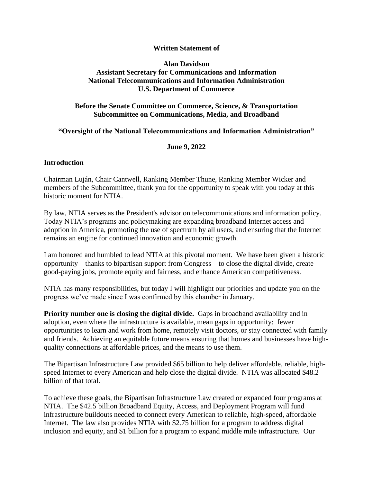### **Written Statement of**

## **Alan Davidson Assistant Secretary for Communications and Information National Telecommunications and Information Administration U.S. Department of Commerce**

# **Before the Senate Committee on Commerce, Science, & Transportation Subcommittee on Communications, Media, and Broadband**

#### **"Oversight of the National Telecommunications and Information Administration"**

#### **June 9, 2022**

## **Introduction**

Chairman Luján, Chair Cantwell, Ranking Member Thune, Ranking Member Wicker and members of the Subcommittee, thank you for the opportunity to speak with you today at this historic moment for NTIA.

By law, NTIA serves as the President's advisor on telecommunications and information policy. Today NTIA's programs and policymaking are expanding broadband Internet access and adoption in America, promoting the use of spectrum by all users, and ensuring that the Internet remains an engine for continued innovation and economic growth.

I am honored and humbled to lead NTIA at this pivotal moment. We have been given a historic opportunity—thanks to bipartisan support from Congress—to close the digital divide, create good-paying jobs, promote equity and fairness, and enhance American competitiveness.

NTIA has many responsibilities, but today I will highlight our priorities and update you on the progress we've made since I was confirmed by this chamber in January.

**Priority number one is closing the digital divide.** Gaps in broadband availability and in adoption, even where the infrastructure is available, mean gaps in opportunity: fewer opportunities to learn and work from home, remotely visit doctors, or stay connected with family and friends. Achieving an equitable future means ensuring that homes and businesses have highquality connections at affordable prices, and the means to use them.

The Bipartisan Infrastructure Law provided \$65 billion to help deliver affordable, reliable, highspeed Internet to every American and help close the digital divide. NTIA was allocated \$48.2 billion of that total.

To achieve these goals, the Bipartisan Infrastructure Law created or expanded four programs at NTIA. The \$42.5 billion Broadband Equity, Access, and Deployment Program will fund infrastructure buildouts needed to connect every American to reliable, high-speed, affordable Internet. The law also provides NTIA with \$2.75 billion for a program to address digital inclusion and equity, and \$1 billion for a program to expand middle mile infrastructure. Our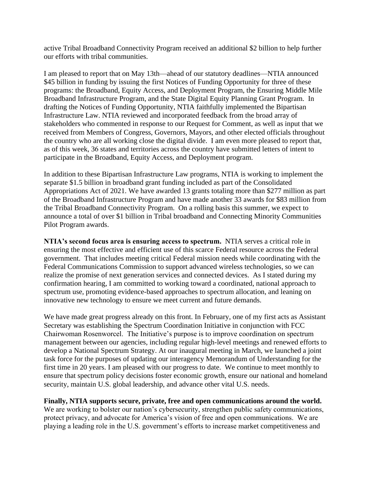active Tribal Broadband Connectivity Program received an additional \$2 billion to help further our efforts with tribal communities.

I am pleased to report that on May 13th—ahead of our statutory deadlines—NTIA announced \$45 billion in funding by issuing the first Notices of Funding Opportunity for three of these programs: the Broadband, Equity Access, and Deployment Program, the Ensuring Middle Mile Broadband Infrastructure Program, and the State Digital Equity Planning Grant Program. In drafting the Notices of Funding Opportunity, NTIA faithfully implemented the Bipartisan Infrastructure Law. NTIA reviewed and incorporated feedback from the broad array of stakeholders who commented in response to our Request for Comment, as well as input that we received from Members of Congress, Governors, Mayors, and other elected officials throughout the country who are all working close the digital divide. I am even more pleased to report that, as of this week, 36 states and territories across the country have submitted letters of intent to participate in the Broadband, Equity Access, and Deployment program.

In addition to these Bipartisan Infrastructure Law programs, NTIA is working to implement the separate \$1.5 billion in broadband grant funding included as part of the Consolidated Appropriations Act of 2021. We have awarded 13 grants totaling more than \$277 million as part of the Broadband Infrastructure Program and have made another 33 awards for \$83 million from the Tribal Broadband Connectivity Program. On a rolling basis this summer, we expect to announce a total of over \$1 billion in Tribal broadband and Connecting Minority Communities Pilot Program awards.

**NTIA's second focus area is ensuring access to spectrum.** NTIA serves a critical role in ensuring the most effective and efficient use of this scarce Federal resource across the Federal government. That includes meeting critical Federal mission needs while coordinating with the Federal Communications Commission to support advanced wireless technologies, so we can realize the promise of next generation services and connected devices. As I stated during my confirmation hearing, I am committed to working toward a coordinated, national approach to spectrum use, promoting evidence-based approaches to spectrum allocation, and leaning on innovative new technology to ensure we meet current and future demands.

We have made great progress already on this front. In February, one of my first acts as Assistant Secretary was establishing the Spectrum Coordination Initiative in conjunction with FCC Chairwoman Rosenworcel. The Initiative's purpose is to improve coordination on spectrum management between our agencies, including regular high-level meetings and renewed efforts to develop a National Spectrum Strategy. At our inaugural meeting in March, we launched a joint task force for the purposes of updating our interagency Memorandum of Understanding for the first time in 20 years. I am pleased with our progress to date. We continue to meet monthly to ensure that spectrum policy decisions foster economic growth, ensure our national and homeland security, maintain U.S. global leadership, and advance other vital U.S. needs.

**Finally, NTIA supports secure, private, free and open communications around the world.** We are working to bolster our nation's cybersecurity, strengthen public safety communications, protect privacy, and advocate for America's vision of free and open communications. We are playing a leading role in the U.S. government's efforts to increase market competitiveness and